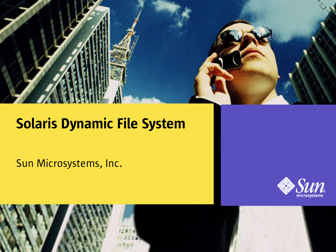

#### Solaris Dynamic File System

Sun Microsystems, Inc.



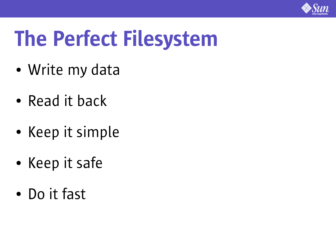

## The Perfect Filesystem

- Write my data
- Read it back
- Keep it simple
- Keep it safe
- Do it fast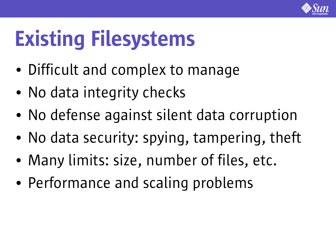

## Existing Filesystems

- Difficult and complex to manage
- No data integrity checks
- No defense against silent data corruption
- No data security: spying, tampering, theft
- Many limits: size, number of files, etc.
- Performance and scaling problems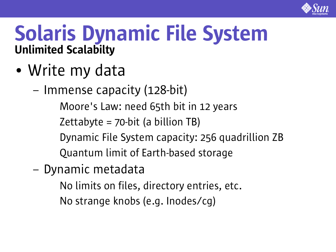

#### Solaris Dynamic File System Unlimited Scalabilty

- Write my data
	- Immense capacity (128-bit)

Moore's Law: need 65th bit in 12 years

Zettabyte =  $70$ -bit (a billion TB)

● Dynamic File System capacity: 256 quadrillion ZB

Quantum limit of Earth-based storage

– Dynamic metadata

No limits on files, directory entries, etc.

No strange knobs (e.g. Inodes/cg)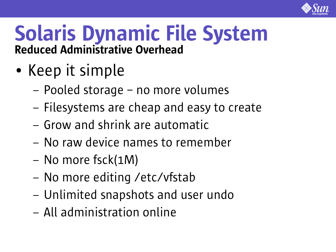

#### Solaris Dynamic File System Reduced Administrative Overhead

- Keep it simple
	- Pooled storage no more volumes
	- Filesystems are cheap and easy to create
	- Grow and shrink are automatic
	- No raw device names to remember
	- No more fsck(1M)
	- No more editing /etc/vfstab
	- Unlimited snapshots and user undo
	- All administration online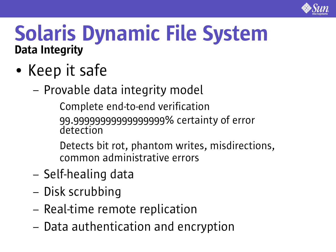

#### Solaris Dynamic File System Data Integrity

- Keep it safe
	- Provable data integrity model

Complete end-to-end verification 99.999999999999999999% certainty of error detection

Detects bit rot, phantom writes, misdirections, common administrative errors

- Self-healing data
- Disk scrubbing
- Real-time remote replication
- Data authentication and encryption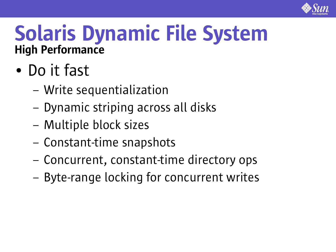

#### Solaris Dynamic File System High Performance

- Do it fast
	- Write sequentialization
	- Dynamic striping across all disks
	- Multiple block sizes
	- Constant-time snapshots
	- Concurrent, constant-time directory ops
	- Byte-range locking for concurrent writes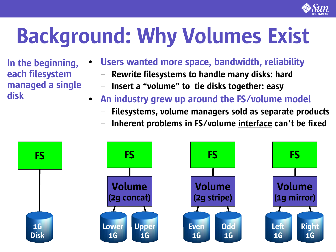

# Background: Why Volumes Exist

In the beginning, each filesystem managed a single disk

- Users wanted more space, bandwidth, reliability
	- Rewrite filesystems to handle many disks: hard
	- Insert a "volume" to tie disks together: easy
- An industry grew up around the FS/volume model
	- Filesystems, volume managers sold as separate products
	- Inherent problems in FS/volume interface can't be fixed

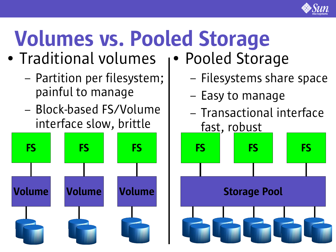

# Volumes vs. Pooled Storage

- Traditional volumes
	- Partition per filesystem; painful to manage
	- Block-based FS/Volume interface slow, brittle



- Pooled Storage
	- Filesystems share space
	- Easy to manage
	- Transactional interface fast, robust

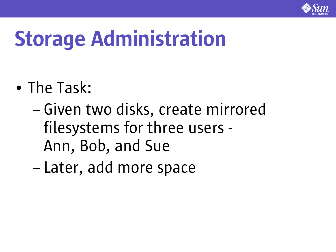

### Storage Administration

- The Task:
	- Given two disks, create mirrored filesystems for three users - Ann, Bob, and Sue
	- Later, add more space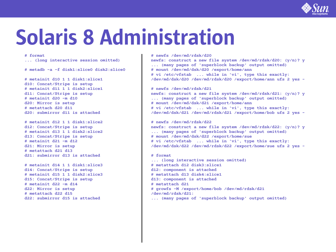

#### Solaris 8 Administration

**# format**

**... (long interactive session omitted)**

**# metadb -a -f disk1:slice0 disk2:slice0**

**# metainit d10 1 1 disk1:slice1 d10: Concat/Stripe is setup # metainit d11 1 1 disk2:slice1 d11: Concat/Stripe is setup # metainit d20 -m d10 d20: Mirror is setup # metattach d20 d11 d20: submirror d11 is attached**

**# metainit d12 1 1 disk1:slice2 d12: Concat/Stripe is setup # metainit d13 1 1 disk2:slice2 d13: Concat/Stripe is setup # metainit d21 -m d12 d21: Mirror is setup # metattach d21 d13 d21: submirror d13 is attached**

**# metainit d14 1 1 disk1:slice3 d14: Concat/Stripe is setup # metainit d15 1 1 disk2:slice3 d15: Concat/Stripe is setup # metainit d22 -m d14 d22: Mirror is setup # metattach d22 d15 d22: submirror d15 is attached**

**# newfs /dev/md/rdsk/d20 newfs: construct a new file system /dev/md/rdsk/d20: (y/n)? y ... (many pages of 'superblock backup' output omitted) # mount /dev/md/dsk/d20 /export/home/ann # vi /etc/vfstab ... while in 'vi', type this exactly: /dev/md/dsk/d20 /dev/md/rdsk/d20 /export/home/ann ufs 2 yes -**

**# newfs /dev/md/rdsk/d21**

**newfs: construct a new file system /dev/md/rdsk/d21: (y/n)? y ... (many pages of 'superblock backup' output omitted) # mount /dev/md/dsk/d21 /export/home/ann # vi /etc/vfstab ... while in 'vi', type this exactly: /dev/md/dsk/d21 /dev/md/rdsk/d21 /export/home/bob ufs 2 yes -**

**# newfs /dev/md/rdsk/d22 newfs: construct a new file system /dev/md/rdsk/d22: (y/n)? y ... (many pages of 'superblock backup' output omitted) # mount /dev/md/dsk/d22 /export/home/sue # vi /etc/vfstab ... while in 'vi', type this exactly: /dev/md/dsk/d22 /dev/md/rdsk/d22 /export/home/sue ufs 2 yes -**

**# format ... (long interactive session omitted) # metattach d12 disk3:slice1 d12: component is attached # metattach d13 disk4:slice1 d13: component is attached # metattach d21 # growfs -M /export/home/bob /dev/md/rdsk/d21 /dev/md/rdsk/d21: ... (many pages of 'superblock backup' output omitted)**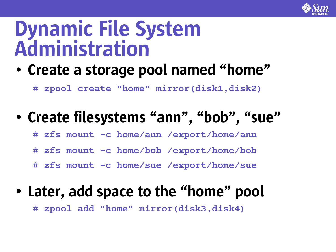

#### Dynamic File System Administration

• Create a storage pool named "home"

**# zpool create "home" mirror(disk1,disk2)**

#### • Create filesystems "ann", "bob", "sue"

**# zfs mount -c home/ann /export/home/ann**

**# zfs mount -c home/bob /export/home/bob**

**# zfs mount -c home/sue /export/home/sue**

#### • Later, add space to the "home" pool

**# zpool add "home" mirror(disk3,disk4)**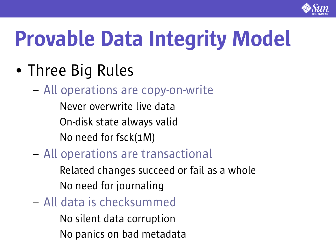

## Provable Data Integrity Model

- Three Big Rules
	- All operations are copy-on-write
		- Never overwrite live data
		- On-disk state always valid
		- No need for fsck(1M)
	- All operations are transactional
		- Related changes succeed or fail as a whole No need for journaling
	- All data is checksummed
		- No silent data corruption
		- No panics on bad metadata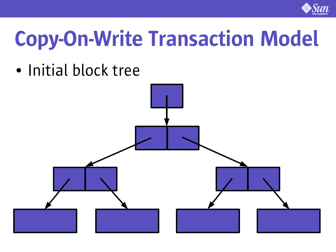

• Initial block tree

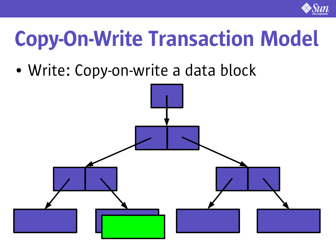

• Write: Copy-on-write a data block

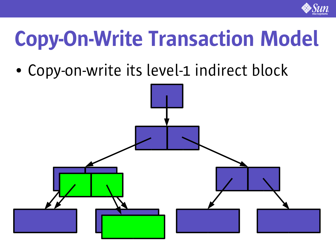

• Copy-on-write its level-1 indirect block

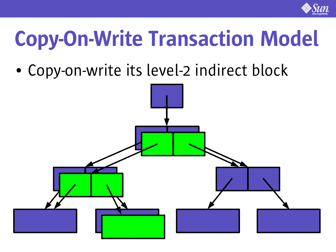

• Copy-on-write its level-2 indirect block

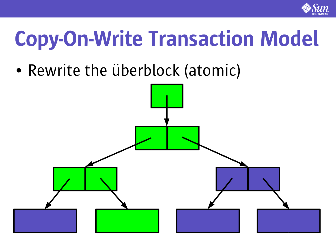

• Rewrite the überblock (atomic)

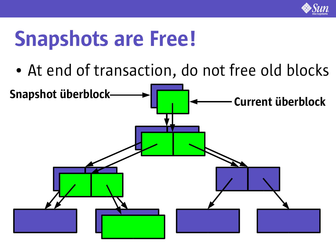

#### Snapshots are Free!

• At end of transaction, do not free old blocks

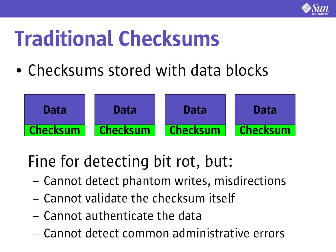![](_page_19_Picture_0.jpeg)

### Traditional Checksums

• Checksums stored with data blocks

![](_page_19_Figure_3.jpeg)

#### Fine for detecting bit rot, but:

- Cannot detect phantom writes, misdirections
- Cannot validate the checksum itself
- Cannot authenticate the data
- Cannot detect common administrative errors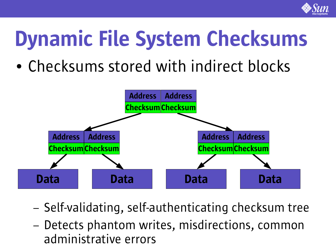![](_page_20_Picture_0.jpeg)

### Dynamic File System Checksums

• Checksums stored with indirect blocks

![](_page_20_Figure_3.jpeg)

- Self-validating, self-authenticating checksum tree
- Detects phantom writes, misdirections, common administrative errors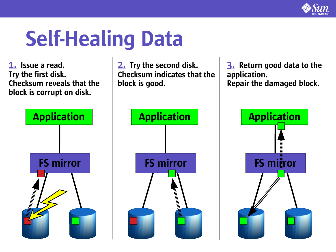![](_page_21_Picture_0.jpeg)

#### Self-Healing Data

1. Issue a read. Try the first disk. Checksum reveals that the block is corrupt on disk.

![](_page_21_Figure_3.jpeg)

![](_page_21_Figure_4.jpeg)

2. Try the second disk.

Checksum indicates that the

3. Return good data to the application. Repair the damaged block.

![](_page_21_Figure_6.jpeg)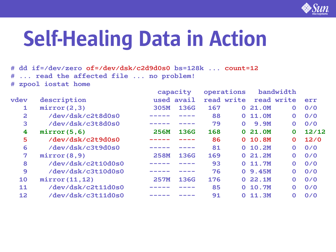![](_page_22_Picture_0.jpeg)

### Self-Healing Data in Action

**# dd if=/dev/zero of=/dev/dsk/c2d9d0s0 bs=128k ... count=12 # ... read the affected file ... no problem! # zpool iostat home**

|                | description        | capacity    |             | operations |              | bandwidth    |              |       |
|----------------|--------------------|-------------|-------------|------------|--------------|--------------|--------------|-------|
| vdev           |                    |             | used avail  |            | read write   |              | read write   | err   |
| 1              | mirror(2,3)        | <b>305M</b> | <b>136G</b> | 167        | $\mathbf{O}$ | 21.0M        | $\mathbf{O}$ | 0/0   |
| $\overline{a}$ | /dev/dsk/c2t8d0s0  |             |             | 88         | $\Omega$     | <b>11.0M</b> | $\mathbf{O}$ | 0/0   |
| 3              | /dev/dsk/c3t8d0s0  |             |             | 79         | $\Omega$     | <b>9.9M</b>  | $\mathbf 0$  | 0/0   |
| 4              | mirror(5, 6)       | <b>256M</b> | <b>136G</b> | 168        | $\mathbf{O}$ | 21.0M        | $\mathbf 0$  | 12/12 |
| 5              | /dev/dsk/c2t9d0s0  |             |             | 86         |              | 0 10.8M      | $\mathbf 0$  | 12/0  |
| 6              | /dev/dsk/c3t9d0s0  |             |             | 81         |              | 0 10.2M      | $\mathbf 0$  | 0/0   |
| $\overline{7}$ | mirror(8, 9)       | <b>258M</b> | <b>136G</b> | 169        | $\Omega$     | 21.2M        | $\mathbf 0$  | 0/0   |
| 8              | /dev/dsk/c2t10d0s0 |             |             | 93         | $\mathbf{O}$ | <b>11.7M</b> | $\mathbf{O}$ | 0/0   |
| 9              | /dev/dsk/c3t10d0s0 |             |             | 76         | $\mathbf{O}$ | <b>9.45M</b> | $\mathbf{O}$ | 0/0   |
| 10             | mirror (11, 12)    | <b>257M</b> | <b>136G</b> | 176        | $\mathbf{O}$ | 22.1M        | $\mathbf 0$  | 0/0   |
| 11             | /dev/dsk/c2t11d0s0 |             |             | 85         | $\Omega$     | <b>10.7M</b> | $\mathbf 0$  | 0/0   |
| 12             | /dev/dsk/c3t11d0s0 |             |             | 91         | 0            | 11.3M        | 0            | 0/0   |
|                |                    |             |             |            |              |              |              |       |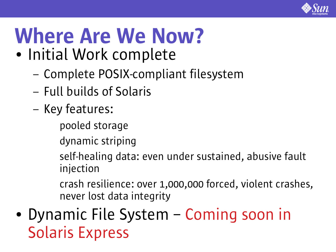![](_page_23_Picture_0.jpeg)

# Where Are We Now?

- Initial Work complete
	- Complete POSIX-compliant filesystem
	- Full builds of Solaris
	- Key features:
		- pooled storage
		- dynamic striping
		- self-healing data: even under sustained, abusive fault injection
		- crash resilience: over 1,000,000 forced, violent crashes, never lost data integrity
- Dynamic File System Coming soon in Solaris Express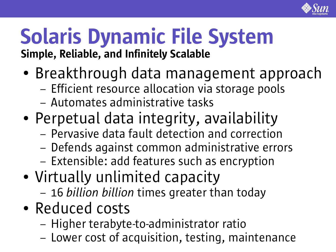![](_page_24_Picture_0.jpeg)

#### Solaris Dynamic File System Simple, Reliable, and Infinitely Scalable

- Breakthrough data management approach
	- Efficient resource allocation via storage pools
	- Automates administrative tasks
- Perpetual data integrity, availability
	- Pervasive data fault detection and correction
	- Defends against common administrative errors
	- Extensible: add features such as encryption
- Virtually unlimited capacity
	- 16 *billion billion* times greater than today
- Reduced costs
	- Higher terabyte-to-administrator ratio
	- Lower cost of acquisition, testing, maintenance